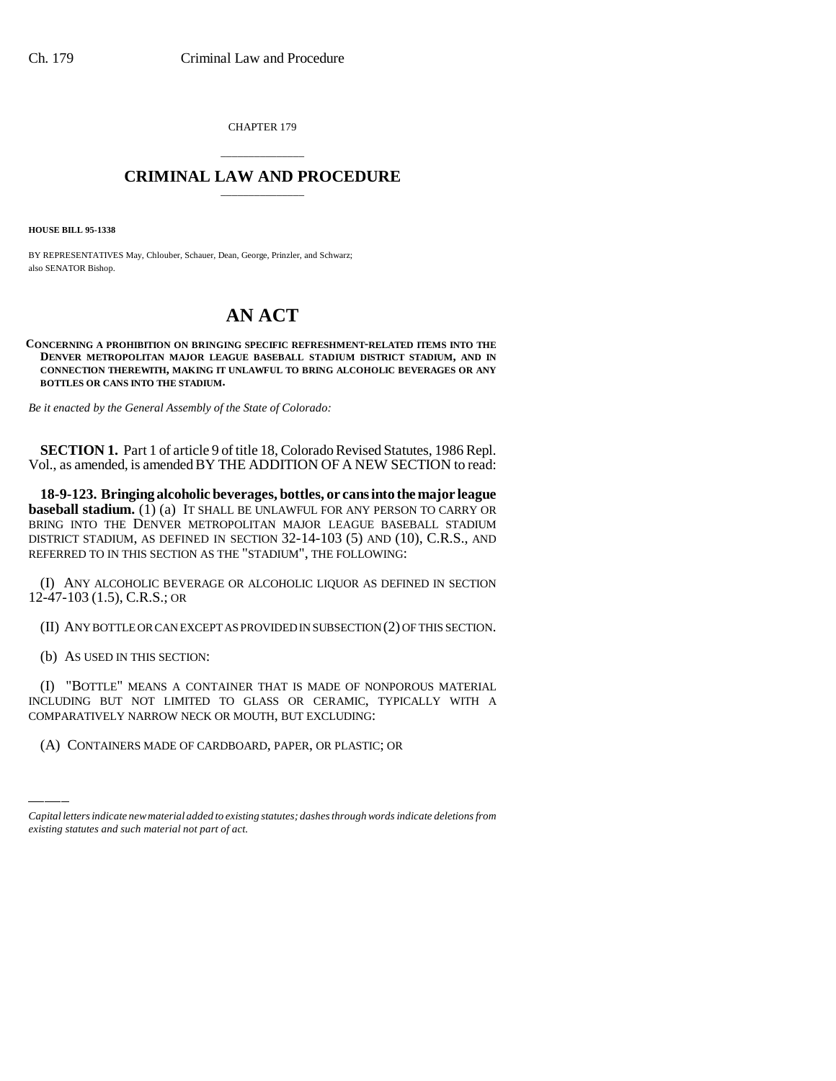CHAPTER 179

## \_\_\_\_\_\_\_\_\_\_\_\_\_\_\_ **CRIMINAL LAW AND PROCEDURE** \_\_\_\_\_\_\_\_\_\_\_\_\_\_\_

**HOUSE BILL 95-1338**

BY REPRESENTATIVES May, Chlouber, Schauer, Dean, George, Prinzler, and Schwarz; also SENATOR Bishop.

## **AN ACT**

**CONCERNING A PROHIBITION ON BRINGING SPECIFIC REFRESHMENT-RELATED ITEMS INTO THE DENVER METROPOLITAN MAJOR LEAGUE BASEBALL STADIUM DISTRICT STADIUM, AND IN CONNECTION THEREWITH, MAKING IT UNLAWFUL TO BRING ALCOHOLIC BEVERAGES OR ANY BOTTLES OR CANS INTO THE STADIUM.**

*Be it enacted by the General Assembly of the State of Colorado:*

**SECTION 1.** Part 1 of article 9 of title 18, Colorado Revised Statutes, 1986 Repl. Vol., as amended, is amended BY THE ADDITION OF A NEW SECTION to read:

**18-9-123. Bringing alcoholic beverages, bottles, or cans into the major league baseball stadium.** (1) (a) IT SHALL BE UNLAWFUL FOR ANY PERSON TO CARRY OR BRING INTO THE DENVER METROPOLITAN MAJOR LEAGUE BASEBALL STADIUM DISTRICT STADIUM, AS DEFINED IN SECTION 32-14-103 (5) AND (10), C.R.S., AND REFERRED TO IN THIS SECTION AS THE "STADIUM", THE FOLLOWING:

(I) ANY ALCOHOLIC BEVERAGE OR ALCOHOLIC LIQUOR AS DEFINED IN SECTION 12-47-103 (1.5), C.R.S.; OR

(II) ANY BOTTLE OR CAN EXCEPT AS PROVIDED IN SUBSECTION (2) OF THIS SECTION.

(b) AS USED IN THIS SECTION:

INCLUDING BUT NOT LIMITED TO GLASS OR CERAMIC, TYPICALLY WITH A (I) "BOTTLE" MEANS A CONTAINER THAT IS MADE OF NONPOROUS MATERIAL COMPARATIVELY NARROW NECK OR MOUTH, BUT EXCLUDING:

(A) CONTAINERS MADE OF CARDBOARD, PAPER, OR PLASTIC; OR

*Capital letters indicate new material added to existing statutes; dashes through words indicate deletions from existing statutes and such material not part of act.*